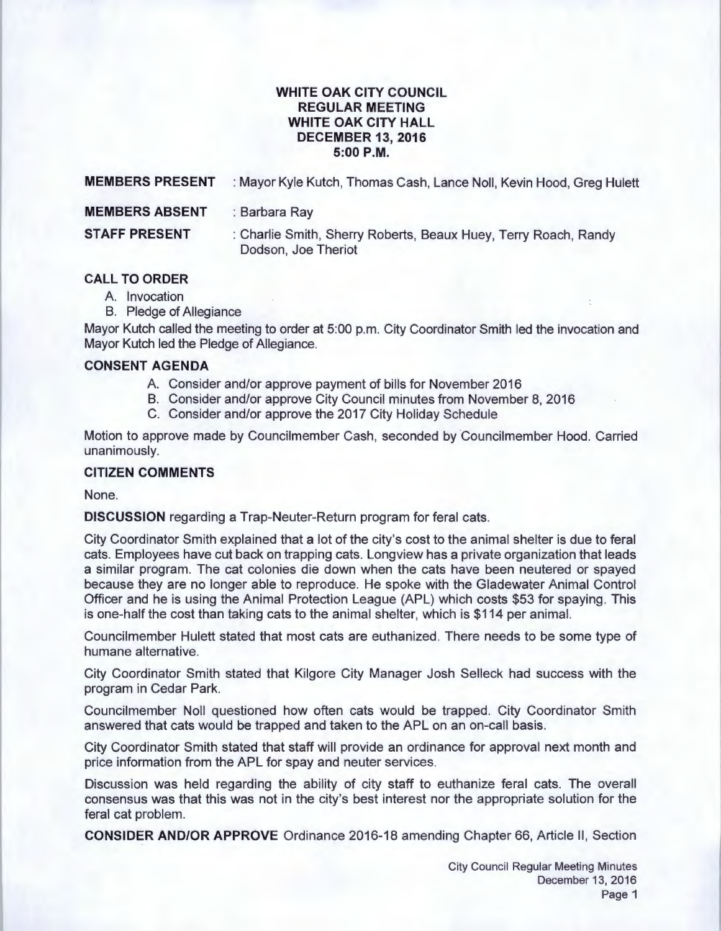### **WHITE OAK CITY COUNCIL REGULAR MEETING WHITE OAK CITY HALL DECEMBER 13, 2016 5:00P.M.**

| <b>MEMBERS PRESENT</b> | : Mayor Kyle Kutch, Thomas Cash, Lance Noll, Kevin Hood, Greg Hulett                   |
|------------------------|----------------------------------------------------------------------------------------|
| <b>MEMBERS ABSENT</b>  | : Barbara Ray                                                                          |
| <b>STAFF PRESENT</b>   | : Charlie Smith, Sherry Roberts, Beaux Huey, Terry Roach, Randy<br>Dodson, Joe Theriot |

# **CALL TO ORDER**

- A. Invocation
- B. Pledge of Allegiance

Mayor Kutch called the meeting to order at 5:00 p.m. City Coordinator Smith led the invocation and Mayor Kutch led the Pledge of Allegiance.

### **CONSENT AGENDA**

- A. Consider and/or approve payment of bills for November 2016
- B. Consider and/or approve City Council minutes from November 8, 2016
- C. Consider and/or approve the 2017 City Holiday Schedule

Motion to approve made by Councilmember Cash, seconded by Councilmember Hood. Carried unanimously.

## **CITIZEN COMMENTS**

None.

**DISCUSSION** regarding a Trap-Neuter-Return program for feral cats.

City Coordinator Smith explained that a lot of the city's cost to the animal shelter is due to feral cats. Employees have cut back on trapping cats. Longview has a private organization that leads a similar program. The cat colonies die down when the cats have been neutered or spayed because they are no longer able to reproduce. He spoke with the Gladewater Animal Control Officer and he is using the Animal Protection League (APL) which costs \$53 for spaying. This is one-half the cost than taking cats to the animal shelter, which is \$114 per animal.

Councilmember Hulett stated that most cats are euthanized. There needs to be some type of humane alternative.

City Coordinator Smith stated that Kilgore City Manager Josh Selleck had success with the program in Cedar Park.

Councilmember Noll questioned how often cats would be trapped. City Coordinator Smith answered that cats would be trapped and taken to the APL on an on-call basis.

City Coordinator Smith stated that staff will provide an ordinance for approval next month and price information from the APL for spay and neuter services.

Discussion was held regarding the ability of city staff to euthanize feral cats. The overall consensus was that this was not in the city's best interest nor the appropriate solution for the feral cat problem.

**CONSIDER AND/OR APPROVE** Ordinance 2016-18 amending Chapter 66, Article II , Section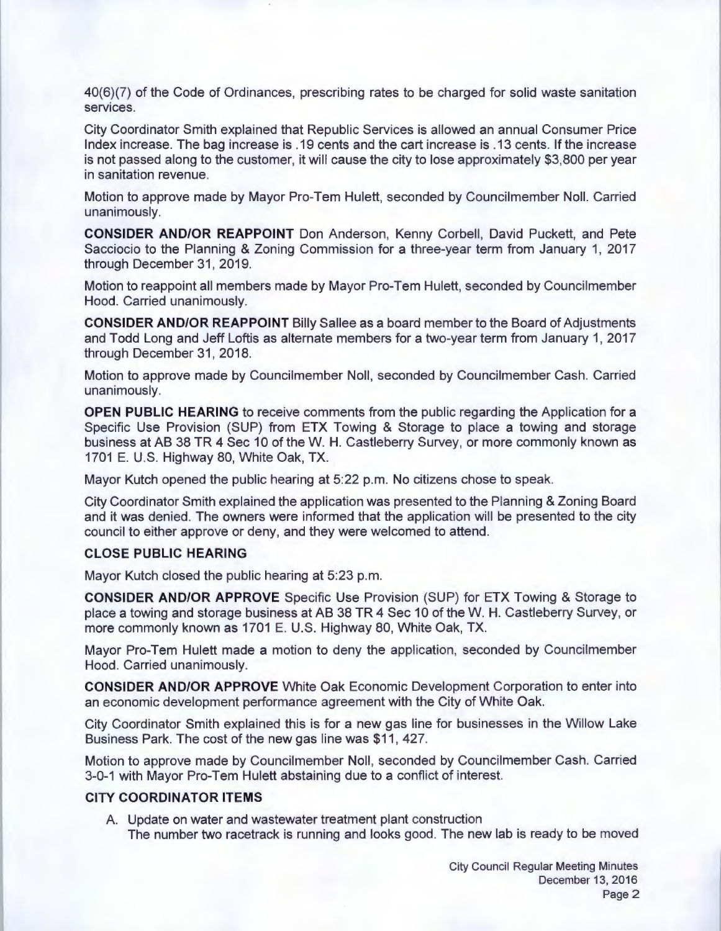40(6)(7) of the Code of Ordinances, prescribing rates to be charged for solid waste sanitation services.

City Coordinator Smith explained that Republic Services is allowed an annual Consumer Price Index increase. The bag increase is .19 cents and the cart increase is .13 cents. If the increase is not passed along to the customer, it will cause the city to lose approximately \$3,800 per year in sanitation revenue.

Motion to approve made by Mayor Pro-Tem Hulett, seconded by Councilmember Noll. Carried unanimously.

**CONSIDER AND/OR REAPPOINT** Don Anderson, Kenny Corbell, David Puckett, and Pete Sacciocio to the Planning & Zoning Commission for a three-year term from January 1, 2017 through December 31, 2019.

Motion to reappoint all members made by Mayor Pro-Tem Hulett, seconded by Councilmember Hood. Carried unanimously.

**CONSIDER AND/OR REAPPOINT** Billy Sallee as a board member to the Board of Adjustments and Todd Long and Jeff Loftis as alternate members for a two-year term from January 1, 2017 through December 31, 2018.

Motion to approve made by Councilmember Noll, seconded by Councilmember Cash. Carried unanimously.

**OPEN PUBLIC HEARING** to receive comments from the public regarding the Application for a Specific Use Provision (SUP) from ETX Towing & Storage to place a towing and storage business at AB 38 TR 4 Sec 10 of theW. H. Castleberry Survey, or more commonly known as 1701 E. U.S. Highway 80, White Oak, TX.

Mayor Kutch opened the public hearing at 5:22 p.m. No citizens chose to speak.

City Coordinator Smith explained the application was presented to the Planning & Zoning Board and it was denied. The owners were informed that the application will be presented to the city council to either approve or deny, and they were welcomed to attend.

#### **CLOSE PUBLIC HEARING**

Mayor Kutch closed the public hearing at 5:23 p.m.

**CONSIDER AND/OR APPROVE** Specific Use Provision (SUP) for ETX Towing & Storage to place a towing and storage business at AB 38 TR 4 Sec 10 of theW. H. Castleberry Survey, or more commonly known as 1701 E. U.S. Highway 80, White Oak, TX.

Mayor Pro-Tem Hulett made a motion to deny the application, seconded by Councilmember Hood. Carried unanimously.

**CONSIDER AND/OR APPROVE** White Oak Economic Development Corporation to enter into an economic development performance agreement with the City of White Oak.

City Coordinator Smith explained this is for a new gas line for businesses in the Willow Lake Business Park. The cost of the new gas line was \$11 , 427.

Motion to approve made by Councilmember Noll, seconded by Councilmember Cash. Carried 3-0-1 with Mayor Pro-Tem Hulett abstaining due to a conflict of interest.

### **CITY COORDINATOR ITEMS**

A. Update on water and wastewater treatment plant construction The number two racetrack is running and looks good. The new lab is ready to be moved